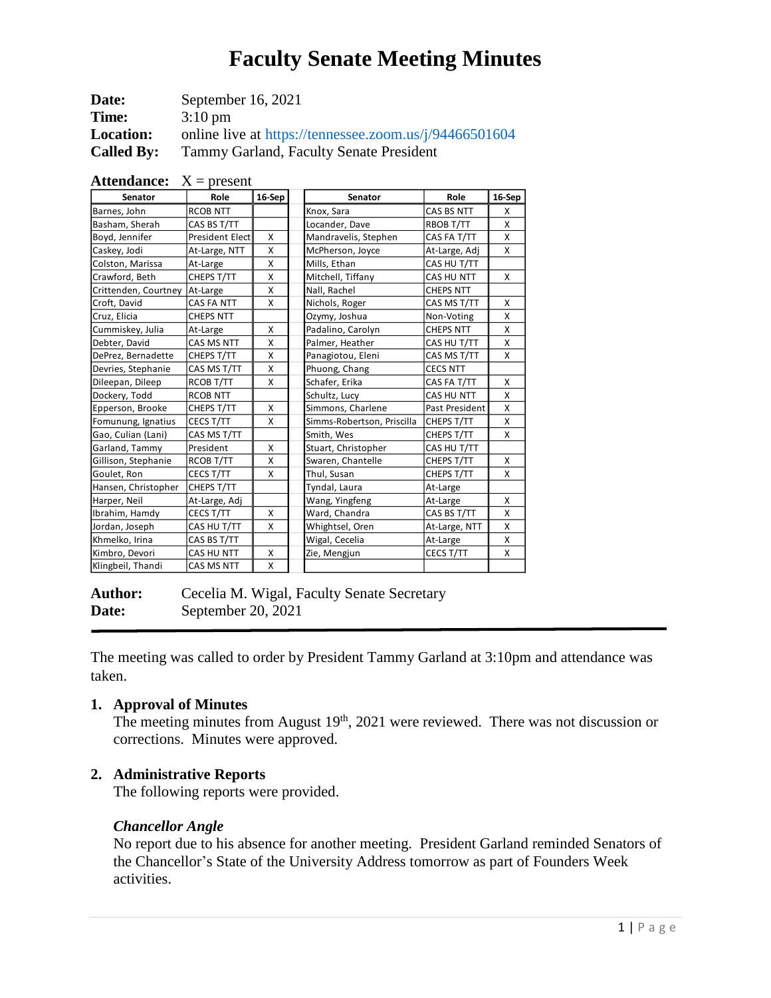| Date:             | September 16, 2021                                     |
|-------------------|--------------------------------------------------------|
| Time:             | $3:10 \text{ pm}$                                      |
| <b>Location:</b>  | online live at https://tennessee.zoom.us/j/94466501604 |
| <b>Called By:</b> | Tammy Garland, Faculty Senate President                |

| Senator              | Role                   | 16-Sep | Senator                    | Role             | 16-Sep |
|----------------------|------------------------|--------|----------------------------|------------------|--------|
| Barnes, John         | <b>RCOB NTT</b>        |        | Knox, Sara                 | CAS BS NTT       | X      |
| Basham, Sherah       | CAS BS T/TT            |        | Locander, Dave             | RBOB T/TT        | X      |
| Boyd, Jennifer       | <b>President Elect</b> | X      | Mandravelis, Stephen       | CAS FA T/TT      | X      |
| Caskey, Jodi         | At-Large, NTT          | X      | McPherson, Joyce           | At-Large, Adj    | X      |
| Colston, Marissa     | At-Large               | X      | Mills, Ethan               | CAS HU T/TT      |        |
| Crawford, Beth       | CHEPS T/TT             | X      | Mitchell, Tiffany          | CAS HU NTT       | X      |
| Crittenden, Courtney | At-Large               | X      | Nall, Rachel               | <b>CHEPS NTT</b> |        |
| Croft, David         | CAS FA NTT             | X      | Nichols, Roger             | CAS MS T/TT      | X      |
| Cruz, Elicia         | <b>CHEPS NTT</b>       |        | Ozymy, Joshua              | Non-Voting       | X      |
| Cummiskey, Julia     | At-Large               | X      | Padalino, Carolyn          | <b>CHEPS NTT</b> | X      |
| Debter, David        | CAS MS NTT             | X      | Palmer, Heather            | CAS HU T/TT      | X      |
| DePrez, Bernadette   | CHEPS T/TT             | X      | Panagiotou, Eleni          | CAS MS T/TT      | X      |
| Devries, Stephanie   | CAS MS T/TT            | X      | Phuong, Chang              | <b>CECS NTT</b>  |        |
| Dileepan, Dileep     | RCOB T/TT              | X      | Schafer, Erika             | CAS FA T/TT      | X      |
| Dockery, Todd        | <b>RCOB NTT</b>        |        | Schultz, Lucy              | CAS HU NTT       | X      |
| Epperson, Brooke     | CHEPS T/TT             | X      | Simmons, Charlene          | Past President   | X      |
| Fomunung, Ignatius   | CECS T/TT              | X      | Simms-Robertson, Priscilla | CHEPS T/TT       | X      |
| Gao, Culian (Lani)   | CAS MS T/TT            |        | Smith, Wes                 | CHEPS T/TT       | X      |
| Garland, Tammy       | President              | X      | Stuart, Christopher        | CAS HU T/TT      |        |
| Gillison, Stephanie  | RCOB T/TT              | X      | Swaren, Chantelle          | CHEPS T/TT       | X      |
| Goulet, Ron          | CECS T/TT              | X      | Thul, Susan                | CHEPS T/TT       | X      |
| Hansen, Christopher  | CHEPS T/TT             |        | Tyndal, Laura              | At-Large         |        |
| Harper, Neil         | At-Large, Adj          |        | Wang, Yingfeng             | At-Large         | X      |
| Ibrahim, Hamdy       | CECS T/TT              | X      | Ward, Chandra              | CAS BS T/TT      | X      |
| Jordan, Joseph       | CAS HU T/TT            | X      | Whightsel, Oren            | At-Large, NTT    | X      |
| Khmelko, Irina       | CAS BS T/TT            |        | Wigal, Cecelia             | At-Large         | X      |
| Kimbro, Devori       | CAS HU NTT             | X      | Zie, Mengjun               | CECS T/TT        | X      |
| Klingbeil, Thandi    | CAS MS NTT             | X      |                            |                  |        |

| <b>Attendance:</b> $X = present$ |  |
|----------------------------------|--|
|----------------------------------|--|

| <b>Author:</b> | Cecelia M. Wigal, Faculty Senate Secretary |
|----------------|--------------------------------------------|
| Date:          | September 20, $2021$                       |

The meeting was called to order by President Tammy Garland at 3:10pm and attendance was taken.

#### **1. Approval of Minutes**

The meeting minutes from August  $19<sup>th</sup>$ , 2021 were reviewed. There was not discussion or corrections. Minutes were approved.

## **2. Administrative Reports**

The following reports were provided.

#### *Chancellor Angle*

No report due to his absence for another meeting. President Garland reminded Senators of the Chancellor's State of the University Address tomorrow as part of Founders Week activities.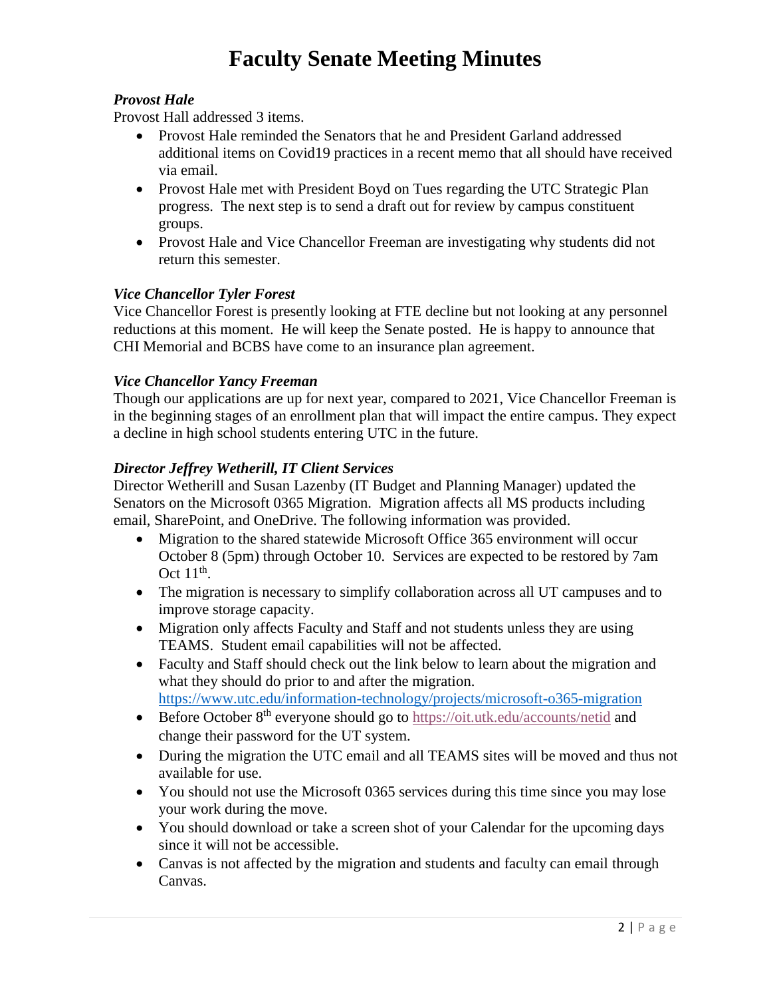# *Provost Hale*

Provost Hall addressed 3 items.

- Provost Hale reminded the Senators that he and President Garland addressed additional items on Covid19 practices in a recent memo that all should have received via email.
- Provost Hale met with President Boyd on Tues regarding the UTC Strategic Plan progress. The next step is to send a draft out for review by campus constituent groups.
- Provost Hale and Vice Chancellor Freeman are investigating why students did not return this semester.

# *Vice Chancellor Tyler Forest*

Vice Chancellor Forest is presently looking at FTE decline but not looking at any personnel reductions at this moment. He will keep the Senate posted. He is happy to announce that CHI Memorial and BCBS have come to an insurance plan agreement.

## *Vice Chancellor Yancy Freeman*

Though our applications are up for next year, compared to 2021, Vice Chancellor Freeman is in the beginning stages of an enrollment plan that will impact the entire campus. They expect a decline in high school students entering UTC in the future.

## *Director Jeffrey Wetherill, IT Client Services*

Director Wetherill and Susan Lazenby (IT Budget and Planning Manager) updated the Senators on the Microsoft 0365 Migration. Migration affects all MS products including email, SharePoint, and OneDrive. The following information was provided.

- Migration to the shared statewide Microsoft Office 365 environment will occur October 8 (5pm) through October 10. Services are expected to be restored by 7am Oct  $11^{\text{th}}$ .
- The migration is necessary to simplify collaboration across all UT campuses and to improve storage capacity.
- Migration only affects Faculty and Staff and not students unless they are using TEAMS. Student email capabilities will not be affected.
- Faculty and Staff should check out the link below to learn about the migration and what they should do prior to and after the migration. <https://www.utc.edu/information-technology/projects/microsoft-o365-migration>
- Before October  $8<sup>th</sup>$  everyone should go to <https://oit.utk.edu/accounts/netid> and change their password for the UT system.
- During the migration the UTC email and all TEAMS sites will be moved and thus not available for use.
- You should not use the Microsoft 0365 services during this time since you may lose your work during the move.
- You should download or take a screen shot of your Calendar for the upcoming days since it will not be accessible.
- Canvas is not affected by the migration and students and faculty can email through Canvas.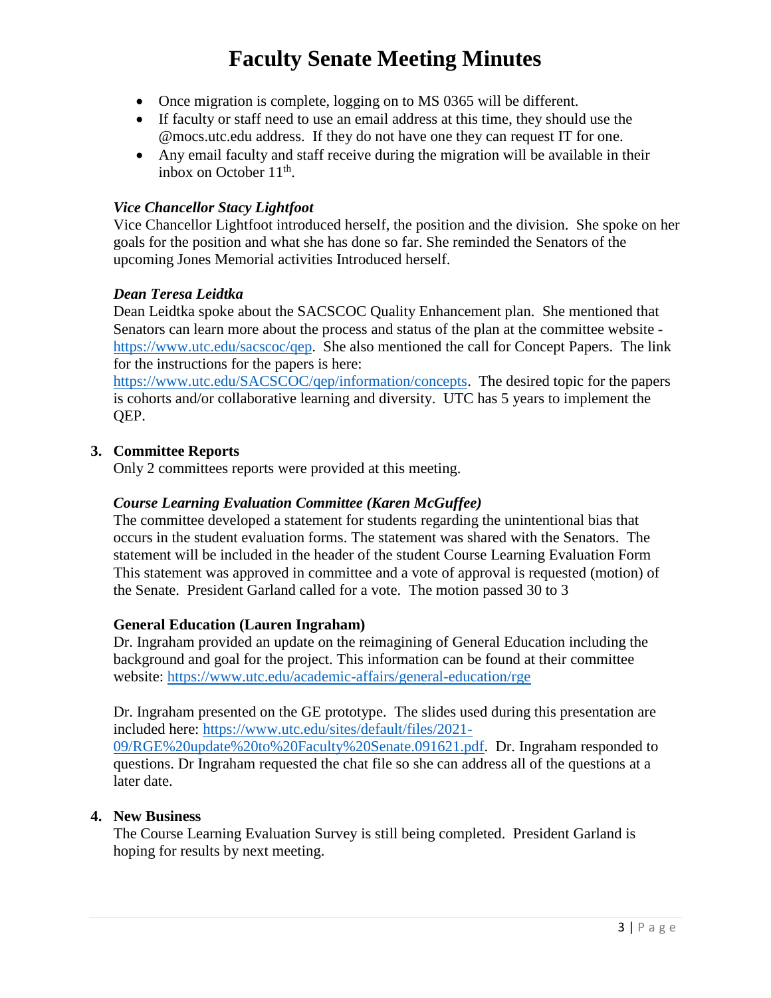- Once migration is complete, logging on to MS 0365 will be different.
- If faculty or staff need to use an email address at this time, they should use the @mocs.utc.edu address. If they do not have one they can request IT for one.
- Any email faculty and staff receive during the migration will be available in their inbox on October  $11<sup>th</sup>$ .

# *Vice Chancellor Stacy Lightfoot*

Vice Chancellor Lightfoot introduced herself, the position and the division. She spoke on her goals for the position and what she has done so far. She reminded the Senators of the upcoming Jones Memorial activities Introduced herself.

#### *Dean Teresa Leidtka*

Dean Leidtka spoke about the SACSCOC Quality Enhancement plan. She mentioned that Senators can learn more about the process and status of the plan at the committee website [https://www.utc.edu/sacscoc/qep.](https://www.utc.edu/sacscoc/qep) She also mentioned the call for Concept Papers. The link for the instructions for the papers is here:

[https://www.utc.edu/SACSCOC/qep/information/concepts.](https://www.utc.edu/SACSCOC/qep/information/concepts) The desired topic for the papers is cohorts and/or collaborative learning and diversity. UTC has 5 years to implement the QEP.

## **3. Committee Reports**

Only 2 committees reports were provided at this meeting.

# *Course Learning Evaluation Committee (Karen McGuffee)*

The committee developed a statement for students regarding the unintentional bias that occurs in the student evaluation forms. The statement was shared with the Senators. The statement will be included in the header of the student Course Learning Evaluation Form This statement was approved in committee and a vote of approval is requested (motion) of the Senate. President Garland called for a vote. The motion passed 30 to 3

#### **General Education (Lauren Ingraham)**

Dr. Ingraham provided an update on the reimagining of General Education including the background and goal for the project. This information can be found at their committee website: <https://www.utc.edu/academic-affairs/general-education/rge>

Dr. Ingraham presented on the GE prototype. The slides used during this presentation are included here: [https://www.utc.edu/sites/default/files/2021-](https://www.utc.edu/sites/default/files/2021-09/RGE%20update%20to%20Faculty%20Senate.091621.pdf) [09/RGE%20update%20to%20Faculty%20Senate.091621.pdf.](https://www.utc.edu/sites/default/files/2021-09/RGE%20update%20to%20Faculty%20Senate.091621.pdf) Dr. Ingraham responded to questions. Dr Ingraham requested the chat file so she can address all of the questions at a later date.

#### **4. New Business**

The Course Learning Evaluation Survey is still being completed. President Garland is hoping for results by next meeting.